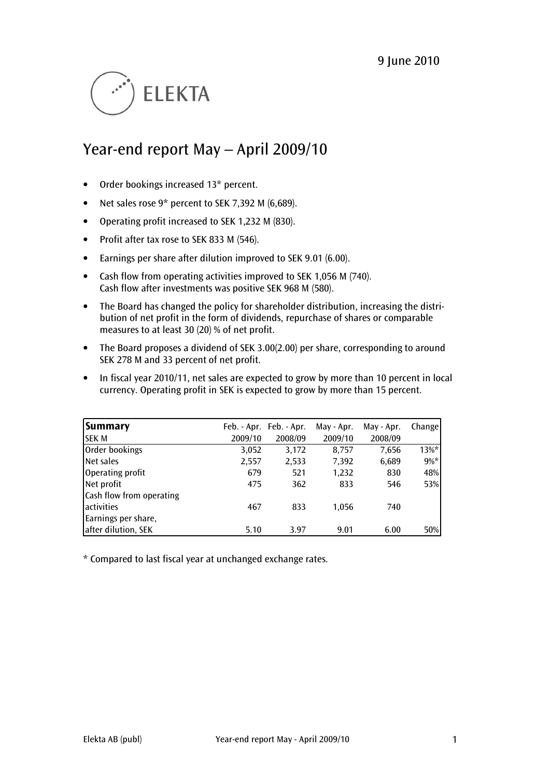

# Year-end report May – April 2009/10

- Order bookings increased 13\* percent.
- Net sales rose 9\* percent to SEK 7,392 M (6,689).
- Operating profit increased to SEK 1,232 M (830).
- Profit after tax rose to SEK 833 M (546).
- Earnings per share after dilution improved to SEK 9.01 (6.00).
- Cash flow from operating activities improved to SEK 1,056 M (740). Cash flow after investments was positive SEK 968 M (580).
- The Board has changed the policy for shareholder distribution, increasing the distribution of net profit in the form of dividends, repurchase of shares or comparable measures to at least 30 (20) % of net profit.
- The Board proposes a dividend of SEK 3.00(2.00) per share, corresponding to around SEK 278 M and 33 percent of net profit.
- In fiscal year 2010/11, net sales are expected to grow by more than 10 percent in local currency. Operating profit in SEK is expected to grow by more than 15 percent.

| Summary                  |         | Feb. - Apr. Feb. - Apr. | May - Apr. | May - Apr. | Change   |
|--------------------------|---------|-------------------------|------------|------------|----------|
| <b>SEK M</b>             | 2009/10 | 2008/09                 | 2009/10    | 2008/09    |          |
| Order bookings           | 3,052   | 3,172                   | 8.757      | 7,656      | $13\%$ * |
| Net sales                | 2,557   | 2,533                   | 7,392      | 6,689      | $9\%*$   |
| Operating profit         | 679     | 521                     | 1,232      | 830        | 48%      |
| Net profit               | 475     | 362                     | 833        | 546        | 53%      |
| Cash flow from operating |         |                         |            |            |          |
| activities               | 467     | 833                     | 1.056      | 740        |          |
| Earnings per share,      |         |                         |            |            |          |
| after dilution, SEK      | 5.10    | 3.97                    | 9.01       | 6.00       | 50%      |

\* Compared to last fiscal year at unchanged exchange rates.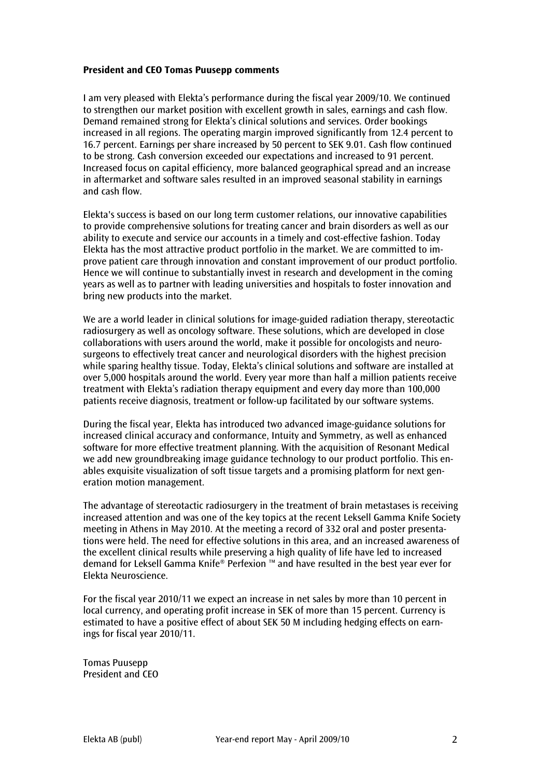### President and CEO Tomas Puusepp comments

I am very pleased with Elekta's performance during the fiscal year 2009/10. We continued to strengthen our market position with excellent growth in sales, earnings and cash flow. Demand remained strong for Elekta's clinical solutions and services. Order bookings increased in all regions. The operating margin improved significantly from 12.4 percent to 16.7 percent. Earnings per share increased by 50 percent to SEK 9.01. Cash flow continued to be strong. Cash conversion exceeded our expectations and increased to 91 percent. Increased focus on capital efficiency, more balanced geographical spread and an increase in aftermarket and software sales resulted in an improved seasonal stability in earnings and cash flow.

Elekta's success is based on our long term customer relations, our innovative capabilities to provide comprehensive solutions for treating cancer and brain disorders as well as our ability to execute and service our accounts in a timely and cost-effective fashion. Today Elekta has the most attractive product portfolio in the market. We are committed to improve patient care through innovation and constant improvement of our product portfolio. Hence we will continue to substantially invest in research and development in the coming years as well as to partner with leading universities and hospitals to foster innovation and bring new products into the market.

We are a world leader in clinical solutions for image-guided radiation therapy, stereotactic radiosurgery as well as oncology software. These solutions, which are developed in close collaborations with users around the world, make it possible for oncologists and neurosurgeons to effectively treat cancer and neurological disorders with the highest precision while sparing healthy tissue. Today, Elekta's clinical solutions and software are installed at over 5,000 hospitals around the world. Every year more than half a million patients receive treatment with Elekta's radiation therapy equipment and every day more than 100,000 patients receive diagnosis, treatment or follow-up facilitated by our software systems.

During the fiscal year, Elekta has introduced two advanced image-guidance solutions for increased clinical accuracy and conformance, Intuity and Symmetry, as well as enhanced software for more effective treatment planning. With the acquisition of Resonant Medical we add new groundbreaking image guidance technology to our product portfolio. This enables exquisite visualization of soft tissue targets and a promising platform for next generation motion management.

The advantage of stereotactic radiosurgery in the treatment of brain metastases is receiving increased attention and was one of the key topics at the recent Leksell Gamma Knife Society meeting in Athens in May 2010. At the meeting a record of 332 oral and poster presentations were held. The need for effective solutions in this area, and an increased awareness of the excellent clinical results while preserving a high quality of life have led to increased demand for Leksell Gamma Knife® Perfexion ™ and have resulted in the best year ever for Elekta Neuroscience.

For the fiscal year 2010/11 we expect an increase in net sales by more than 10 percent in local currency, and operating profit increase in SEK of more than 15 percent. Currency is estimated to have a positive effect of about SEK 50 M including hedging effects on earnings for fiscal year 2010/11.

Tomas Puusepp President and CEO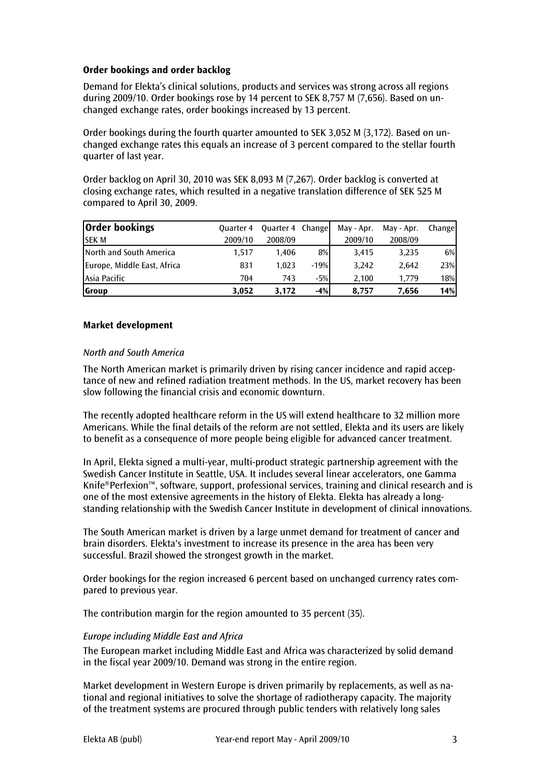## Order bookings and order backlog

Demand for Elekta's clinical solutions, products and services was strong across all regions during 2009/10. Order bookings rose by 14 percent to SEK 8,757 M (7,656). Based on unchanged exchange rates, order bookings increased by 13 percent.

Order bookings during the fourth quarter amounted to SEK 3,052 M (3,172). Based on unchanged exchange rates this equals an increase of 3 percent compared to the stellar fourth quarter of last year.

Order backlog on April 30, 2010 was SEK 8,093 M (7,267). Order backlog is converted at closing exchange rates, which resulted in a negative translation difference of SEK 525 M compared to April 30, 2009.

| <b>Order bookings</b>       | <b>Ouarter 4</b> | Quarter 4 Change |        | May - Apr. | May - Apr. | Change |
|-----------------------------|------------------|------------------|--------|------------|------------|--------|
| <b>ISEK M</b>               | 2009/10          | 2008/09          |        | 2009/10    | 2008/09    |        |
| North and South America     | 1.517            | 1.406            | $8\%$  | 3,415      | 3.235      | 6%     |
| Europe, Middle East, Africa | 831              | 1.023            | $-19%$ | 3.242      | 2.642      | 23%    |
| Asia Pacific                | 704              | 743              | $-5%$  | 2.100      | 1.779      | 18%    |
| <b>Group</b>                | 3.052            | 3.172            | $-4%$  | 8,757      | 7,656      | 14%    |

## Market development

#### North and South America

The North American market is primarily driven by rising cancer incidence and rapid acceptance of new and refined radiation treatment methods. In the US, market recovery has been slow following the financial crisis and economic downturn.

The recently adopted healthcare reform in the US will extend healthcare to 32 million more Americans. While the final details of the reform are not settled, Elekta and its users are likely to benefit as a consequence of more people being eligible for advanced cancer treatment.

In April, Elekta signed a multi-year, multi-product strategic partnership agreement with the Swedish Cancer Institute in Seattle, USA. It includes several linear accelerators, one Gamma Knife®Perfexion™, software, support, professional services, training and clinical research and is one of the most extensive agreements in the history of Elekta. Elekta has already a longstanding relationship with the Swedish Cancer Institute in development of clinical innovations.

The South American market is driven by a large unmet demand for treatment of cancer and brain disorders. Elekta's investment to increase its presence in the area has been very successful. Brazil showed the strongest growth in the market.

Order bookings for the region increased 6 percent based on unchanged currency rates compared to previous year.

The contribution margin for the region amounted to 35 percent (35).

## Europe including Middle East and Africa

The European market including Middle East and Africa was characterized by solid demand in the fiscal year 2009/10. Demand was strong in the entire region.

Market development in Western Europe is driven primarily by replacements, as well as national and regional initiatives to solve the shortage of radiotherapy capacity. The majority of the treatment systems are procured through public tenders with relatively long sales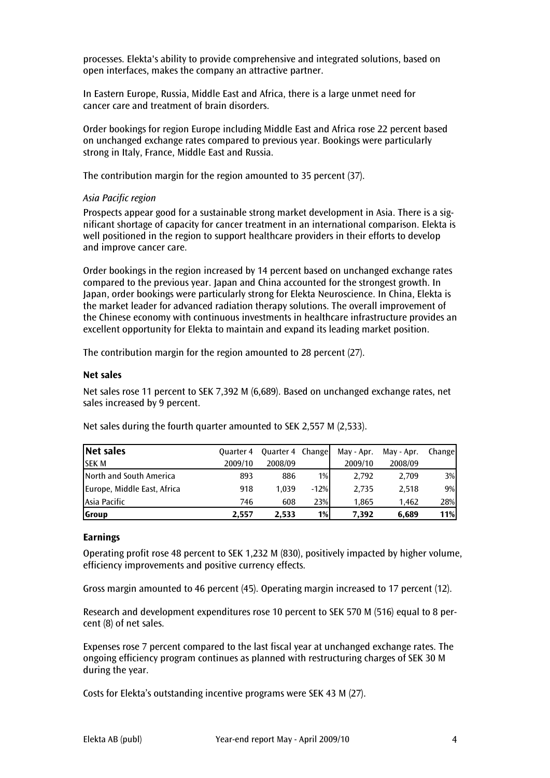processes. Elekta's ability to provide comprehensive and integrated solutions, based on open interfaces, makes the company an attractive partner.

In Eastern Europe, Russia, Middle East and Africa, there is a large unmet need for cancer care and treatment of brain disorders.

Order bookings for region Europe including Middle East and Africa rose 22 percent based on unchanged exchange rates compared to previous year. Bookings were particularly strong in Italy, France, Middle East and Russia.

The contribution margin for the region amounted to 35 percent (37).

## Asia Pacific region

Prospects appear good for a sustainable strong market development in Asia. There is a significant shortage of capacity for cancer treatment in an international comparison. Elekta is well positioned in the region to support healthcare providers in their efforts to develop and improve cancer care.

Order bookings in the region increased by 14 percent based on unchanged exchange rates compared to the previous year. Japan and China accounted for the strongest growth. In Japan, order bookings were particularly strong for Elekta Neuroscience. In China, Elekta is the market leader for advanced radiation therapy solutions. The overall improvement of the Chinese economy with continuous investments in healthcare infrastructure provides an excellent opportunity for Elekta to maintain and expand its leading market position.

The contribution margin for the region amounted to 28 percent (27).

#### Net sales

Net sales rose 11 percent to SEK 7,392 M (6,689). Based on unchanged exchange rates, net sales increased by 9 percent.

| Net sales                   | <b>Quarter 4</b> | Quarter 4 Change |        | May - Apr. | May - Apr. | Change |
|-----------------------------|------------------|------------------|--------|------------|------------|--------|
| <b>SEK M</b>                | 2009/10          | 2008/09          |        | 2009/10    | 2008/09    |        |
| North and South America     | 893              | 886              | $1\%$  | 2.792      | 2.709      | $3\%$  |
| Europe, Middle East, Africa | 918              | 1.039            | $-12%$ | 2.735      | 2.518      | $9\%$  |
| Asia Pacific                | 746              | 608              | 23%    | 1.865      | 1.462      | 28%    |
| Group                       | 2.557            | 2.533            | 1%     | 7.392      | 6.689      | 11%    |

Net sales during the fourth quarter amounted to SEK 2,557 M (2,533).

#### Earnings

Operating profit rose 48 percent to SEK 1,232 M (830), positively impacted by higher volume, efficiency improvements and positive currency effects.

Gross margin amounted to 46 percent (45). Operating margin increased to 17 percent (12).

Research and development expenditures rose 10 percent to SEK 570 M (516) equal to 8 percent (8) of net sales.

Expenses rose 7 percent compared to the last fiscal year at unchanged exchange rates. The ongoing efficiency program continues as planned with restructuring charges of SEK 30 M during the year.

Costs for Elekta's outstanding incentive programs were SEK 43 M (27).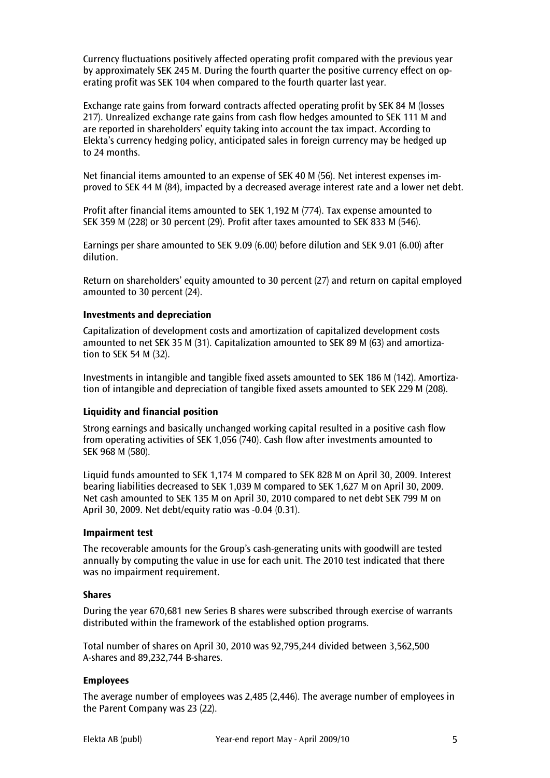Currency fluctuations positively affected operating profit compared with the previous year by approximately SEK 245 M. During the fourth quarter the positive currency effect on operating profit was SEK 104 when compared to the fourth quarter last year.

Exchange rate gains from forward contracts affected operating profit by SEK 84 M (losses 217). Unrealized exchange rate gains from cash flow hedges amounted to SEK 111 M and are reported in shareholders' equity taking into account the tax impact. According to Elekta's currency hedging policy, anticipated sales in foreign currency may be hedged up to 24 months.

Net financial items amounted to an expense of SEK 40 M (56). Net interest expenses improved to SEK 44 M (84), impacted by a decreased average interest rate and a lower net debt.

Profit after financial items amounted to SEK 1,192 M (774). Tax expense amounted to SEK 359 M (228) or 30 percent (29). Profit after taxes amounted to SEK 833 M (546).

Earnings per share amounted to SEK 9.09 (6.00) before dilution and SEK 9.01 (6.00) after dilution.

Return on shareholders' equity amounted to 30 percent (27) and return on capital employed amounted to 30 percent (24).

## Investments and depreciation

Capitalization of development costs and amortization of capitalized development costs amounted to net SEK 35 M (31). Capitalization amounted to SEK 89 M (63) and amortization to SEK 54 M (32).

Investments in intangible and tangible fixed assets amounted to SEK 186 M (142). Amortization of intangible and depreciation of tangible fixed assets amounted to SEK 229 M (208).

## Liquidity and financial position

Strong earnings and basically unchanged working capital resulted in a positive cash flow from operating activities of SEK 1,056 (740). Cash flow after investments amounted to SEK 968 M (580).

Liquid funds amounted to SEK 1,174 M compared to SEK 828 M on April 30, 2009. Interest bearing liabilities decreased to SEK 1,039 M compared to SEK 1,627 M on April 30, 2009. Net cash amounted to SEK 135 M on April 30, 2010 compared to net debt SEK 799 M on April 30, 2009. Net debt/equity ratio was -0.04 (0.31).

## Impairment test

The recoverable amounts for the Group's cash-generating units with goodwill are tested annually by computing the value in use for each unit. The 2010 test indicated that there was no impairment requirement.

#### Shares

During the year 670,681 new Series B shares were subscribed through exercise of warrants distributed within the framework of the established option programs.

Total number of shares on April 30, 2010 was 92,795,244 divided between 3,562,500 A-shares and 89,232,744 B-shares.

#### Employees

The average number of employees was 2,485 (2,446). The average number of employees in the Parent Company was 23 (22).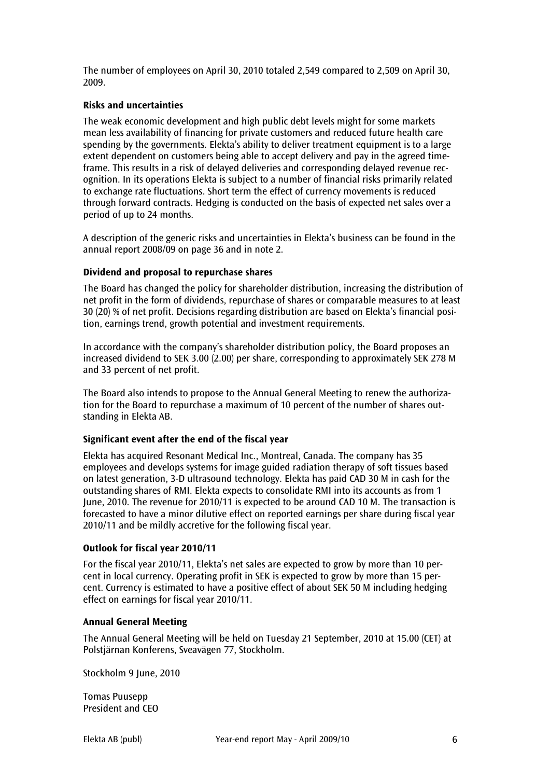The number of employees on April 30, 2010 totaled 2,549 compared to 2,509 on April 30, 2009.

## Risks and uncertainties

The weak economic development and high public debt levels might for some markets mean less availability of financing for private customers and reduced future health care spending by the governments. Elekta's ability to deliver treatment equipment is to a large extent dependent on customers being able to accept delivery and pay in the agreed timeframe. This results in a risk of delayed deliveries and corresponding delayed revenue recognition. In its operations Elekta is subject to a number of financial risks primarily related to exchange rate fluctuations. Short term the effect of currency movements is reduced through forward contracts. Hedging is conducted on the basis of expected net sales over a period of up to 24 months.

A description of the generic risks and uncertainties in Elekta's business can be found in the annual report 2008/09 on page 36 and in note 2.

#### Dividend and proposal to repurchase shares

The Board has changed the policy for shareholder distribution, increasing the distribution of net profit in the form of dividends, repurchase of shares or comparable measures to at least 30 (20) % of net profit. Decisions regarding distribution are based on Elekta's financial position, earnings trend, growth potential and investment requirements.

In accordance with the company's shareholder distribution policy, the Board proposes an increased dividend to SEK 3.00 (2.00) per share, corresponding to approximately SEK 278 M and 33 percent of net profit.

The Board also intends to propose to the Annual General Meeting to renew the authorization for the Board to repurchase a maximum of 10 percent of the number of shares outstanding in Elekta AB.

## Significant event after the end of the fiscal year

Elekta has acquired Resonant Medical Inc., Montreal, Canada. The company has 35 employees and develops systems for image guided radiation therapy of soft tissues based on latest generation, 3-D ultrasound technology. Elekta has paid CAD 30 M in cash for the outstanding shares of RMI. Elekta expects to consolidate RMI into its accounts as from 1 June, 2010. The revenue for 2010/11 is expected to be around CAD 10 M. The transaction is forecasted to have a minor dilutive effect on reported earnings per share during fiscal year 2010/11 and be mildly accretive for the following fiscal year.

#### Outlook for fiscal year 2010/11

For the fiscal year 2010/11, Elekta's net sales are expected to grow by more than 10 percent in local currency. Operating profit in SEK is expected to grow by more than 15 percent. Currency is estimated to have a positive effect of about SEK 50 M including hedging effect on earnings for fiscal year 2010/11.

#### Annual General Meeting

The Annual General Meeting will be held on Tuesday 21 September, 2010 at 15.00 (CET) at Polstjärnan Konferens, Sveavägen 77, Stockholm.

Stockholm 9 June, 2010

Tomas Puusepp President and CEO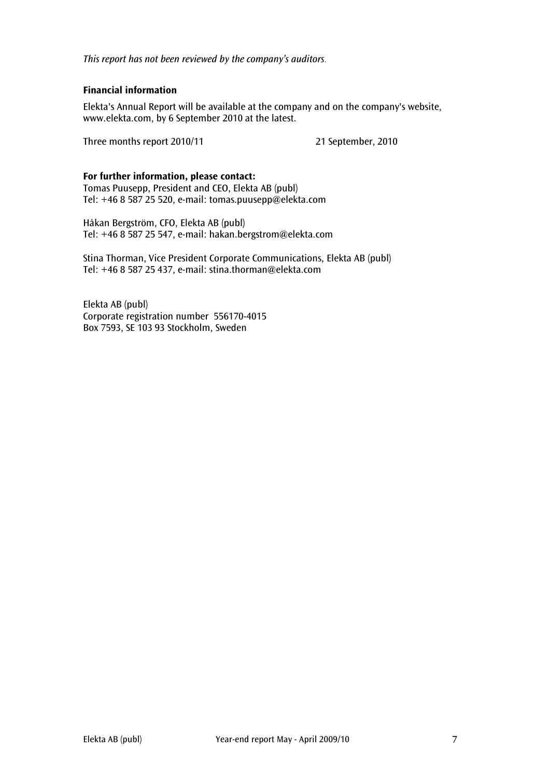This report has not been reviewed by the company's auditors.

## Financial information

Elekta's Annual Report will be available at the company and on the company's website, www.elekta.com, by 6 September 2010 at the latest.

Three months report 2010/11 21 September, 2010

## For further information, please contact:

Tomas Puusepp, President and CEO, Elekta AB (publ) Tel: +46 8 587 25 520, e-mail: tomas.puusepp@elekta.com

Håkan Bergström, CFO, Elekta AB (publ) Tel: +46 8 587 25 547, e-mail: hakan.bergstrom@elekta.com

Stina Thorman, Vice President Corporate Communications, Elekta AB (publ) Tel: +46 8 587 25 437, e-mail: stina.thorman@elekta.com

Elekta AB (publ) Corporate registration number 556170-4015 Box 7593, SE 103 93 Stockholm, Sweden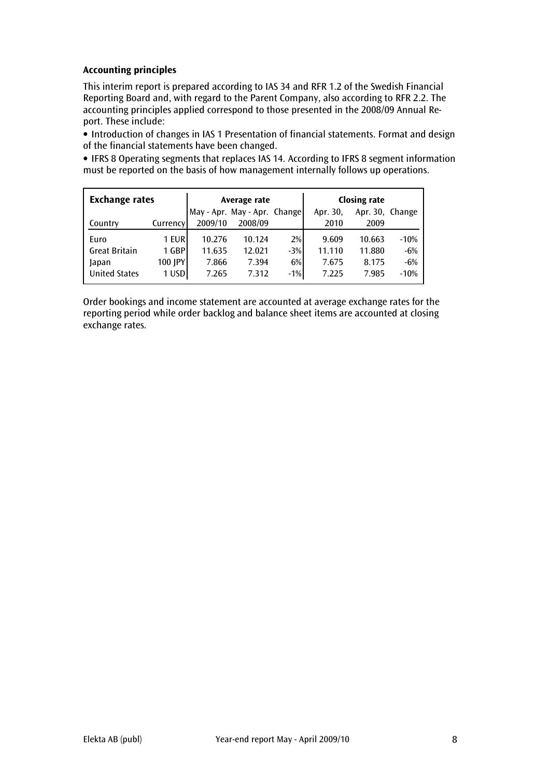## Accounting principles

This interim report is prepared according to IAS 34 and RFR 1.2 of the Swedish Financial Reporting Board and, with regard to the Parent Company, also according to RFR 2.2. The accounting principles applied correspond to those presented in the 2008/09 Annual Report. These include:

• Introduction of changes in IAS 1 Presentation of financial statements. Format and design of the financial statements have been changed.

• IFRS 8 Operating segments that replaces IAS 14. According to IFRS 8 segment information must be reported on the basis of how management internally follows up operations.

| <b>Exchange rates</b> |           |         | Average rate                 |       | <b>Closing rate</b> |                 |        |  |
|-----------------------|-----------|---------|------------------------------|-------|---------------------|-----------------|--------|--|
|                       |           |         | May - Apr. May - Apr. Change |       | Apr. 30,            | Apr. 30. Change |        |  |
| Country               | Currencyl | 2009/10 | 2008/09                      |       | 2010                | 2009            |        |  |
| Euro                  | 1 EUR     | 10.276  | 10.124                       | 2%    | 9.609               | 10.663          | $-10%$ |  |
| <b>Great Britain</b>  | 1 GBP     | 11.635  | 12.021                       | $-3%$ | 11.110              | 11.880          | $-6%$  |  |
| Japan                 | 100 JPY   | 7.866   | 7.394                        | 6%    | 7.675               | 8.175           | $-6%$  |  |
| <b>United States</b>  | 1 USD     | 7.265   | 7.312                        | $-1%$ | 7.225               | 7.985           | $-10%$ |  |

Order bookings and income statement are accounted at average exchange rates for the reporting period while order backlog and balance sheet items are accounted at closing exchange rates.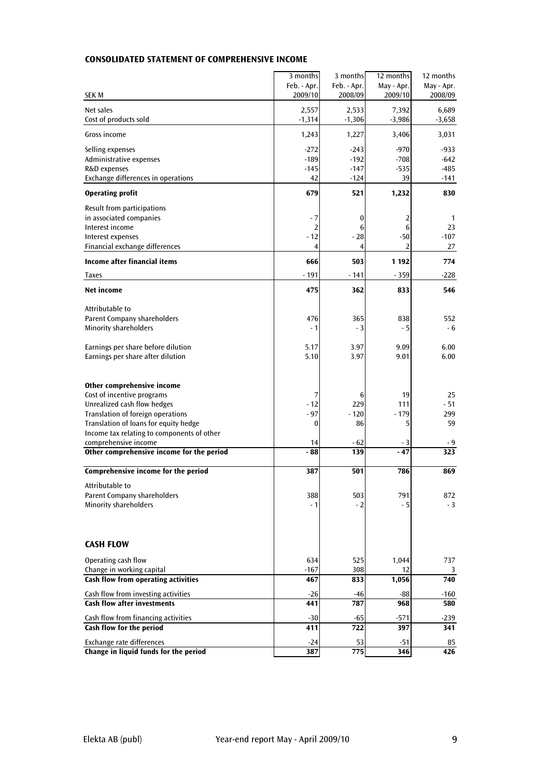|                                                                         | 3 months              | 3 months       | 12 months     | 12 months        |
|-------------------------------------------------------------------------|-----------------------|----------------|---------------|------------------|
|                                                                         | Feb. - Apr.           | Feb. - Apr.    | May - Apr.    | May - Apr.       |
| <b>SEK M</b>                                                            | 2009/10               | 2008/09        | 2009/10       | 2008/09          |
| Net sales                                                               | 2,557                 | 2,533          | 7,392         | 6,689            |
| Cost of products sold                                                   | $-1,314$              | $-1,306$       | $-3,986$      | $-3,658$         |
| Gross income                                                            | 1,243                 | 1,227          | 3,406         | 3,031            |
| Selling expenses                                                        | $-272$                | $-243$         | $-970$        | $-933$           |
| Administrative expenses                                                 | $-189$                | $-192$         | $-708$        | $-642$           |
| R&D expenses                                                            | $-145$                | $-147$         | $-535$        | $-485$           |
| Exchange differences in operations                                      | 42                    | $-124$         | 39            | -141             |
| <b>Operating profit</b>                                                 | 679                   | 521            | 1,232         | 830              |
| Result from participations                                              |                       |                |               |                  |
| in associated companies<br>Interest income                              | - 7<br>$\overline{2}$ | 0<br>6         | 2<br>6        | 1<br>23          |
| Interest expenses                                                       | $-12$                 | $-28$          | $-50$         | $-107$           |
| Financial exchange differences                                          | $\overline{4}$        | $\overline{4}$ | 2             | 27               |
| Income after financial items                                            | 666                   | 503            | 1 1 9 2       | 774              |
| <b>Taxes</b>                                                            | $-191$                | $-141$         | $-359$        | $-228$           |
| <b>Net income</b>                                                       | 475                   | 362            | 833           | 546              |
| Attributable to                                                         |                       |                |               |                  |
| Parent Company shareholders                                             | 476                   | 365            | 838           | 552              |
| <b>Minority shareholders</b>                                            | $-1$                  | $-3$           | $-5$          | - 6              |
|                                                                         |                       |                |               |                  |
| Earnings per share before dilution<br>Earnings per share after dilution | 5.17<br>5.10          | 3.97<br>3.97   | 9.09<br>9.01  | 6.00<br>6.00     |
|                                                                         |                       |                |               |                  |
|                                                                         |                       |                |               |                  |
| Other comprehensive income                                              |                       |                |               |                  |
| Cost of incentive programs                                              | 7                     | 6              | 19            | 25               |
| Unrealized cash flow hedges<br>Translation of foreign operations        | $-12$<br>$-97$        | 229<br>$-120$  | 111<br>$-179$ | $-51$<br>299     |
| Translation of loans for equity hedge                                   | 0                     | 86             | 5             | 59               |
| Income tax relating to components of other                              |                       |                |               |                  |
| comprehensive income                                                    | 14                    | $-62$          | - 3           | - 9              |
| Other comprehensive income for the period                               | - 88                  | 139            | $-47$         | $\overline{323}$ |
| Comprehensive income for the period                                     | 387                   | 501            | 786           | 869              |
| Attributable to                                                         |                       |                |               |                  |
| Parent Company shareholders                                             | 388                   | 503            | 791           | 872              |
| <b>Minority shareholders</b>                                            | $-1$                  | $-2$           | - 5           | $-3$             |
|                                                                         |                       |                |               |                  |
| <b>CASH FLOW</b>                                                        |                       |                |               |                  |
| Operating cash flow                                                     | 634                   | 525            | 1,044         | 737              |
| Change in working capital                                               | $-167$                | 308            | 12            | 3                |
| Cash flow from operating activities                                     | 467                   | 833            | 1,056         | 740              |
| Cash flow from investing activities                                     | $-26$                 | -46            | -88           | -160             |
| <b>Cash flow after investments</b>                                      | 441                   | 787            | 968           | 580              |
| Cash flow from financing activities                                     | $-30$                 | -65            | $-571$        | $-239$           |
| Cash flow for the period                                                | 411                   | 722            | 397           | 341              |
| Exchange rate differences                                               | $-24$                 | 53             | $-51$         | 85               |
| Change in liquid funds for the period                                   | 387                   | 775            | 346           | $\overline{426}$ |

## CONSOLIDATED STATEMENT OF COMPREHENSIVE INCOME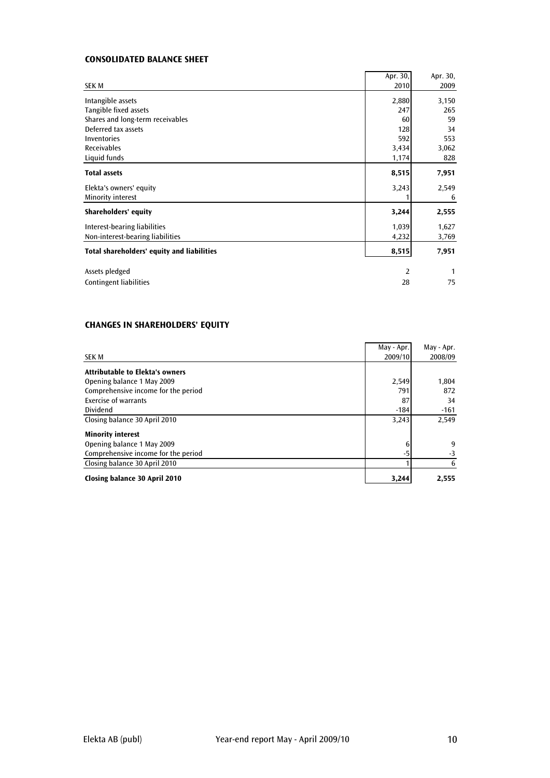## CONSOLIDATED BALANCE SHEET

|                                            | Apr. $30,$ | Apr. 30,     |
|--------------------------------------------|------------|--------------|
| <b>SEK M</b>                               | 2010       | 2009         |
| Intangible assets                          | 2,880      | 3,150        |
| Tangible fixed assets                      | 247        | 265          |
| Shares and long-term receivables           | 60         | 59           |
| Deferred tax assets                        | 128        | 34           |
| <b>Inventories</b>                         | 592        | 553          |
| <b>Receivables</b>                         | 3,434      | 3,062        |
| Liquid funds                               | 1,174      | 828          |
| <b>Total assets</b>                        | 8,515      | 7,951        |
| Elekta's owners' equity                    | 3,243      | 2,549        |
| Minority interest                          |            | 6            |
| <b>Shareholders' equity</b>                | 3,244      | 2,555        |
| Interest-bearing liabilities               | 1,039      | 1,627        |
| Non-interest-bearing liabilities           | 4,232      | 3,769        |
| Total shareholders' equity and liabilities | 8,515      | 7,951        |
| Assets pledged                             | 2          | $\mathbf{1}$ |
| <b>Contingent liabilities</b>              | 28         | 75           |

## CHANGES IN SHAREHOLDERS' EQUITY

| SEK M                                  | May - Apr.<br>2009/10 | May - Apr.<br>2008/09 |
|----------------------------------------|-----------------------|-----------------------|
| <b>Attributable to Elekta's owners</b> |                       |                       |
| Opening balance 1 May 2009             | 2,549                 | 1,804                 |
| Comprehensive income for the period    | 791                   | 872                   |
| Exercise of warrants                   | 87                    | 34                    |
| <b>Dividend</b>                        | $-184$                | $-161$                |
| Closing balance 30 April 2010          | 3,243                 | 2,549                 |
| <b>Minority interest</b>               |                       |                       |
| Opening balance 1 May 2009             | 6                     | 9                     |
| Comprehensive income for the period    | -5                    | $-3$                  |
| Closing balance 30 April 2010          |                       | 6                     |
| Closing balance 30 April 2010          | 3,244                 | 2,555                 |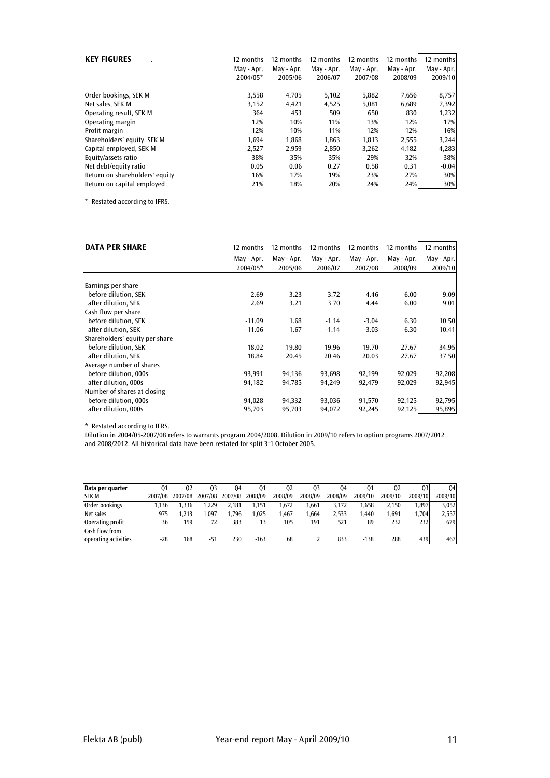| <b>KEY FIGURES</b>             | 12 months  | 12 months  | 12 months  | 12 months  | 12 months  | 12 months  |
|--------------------------------|------------|------------|------------|------------|------------|------------|
|                                | May - Apr. | May - Apr. | May - Apr. | May - Apr. | May - Apr. | May - Apr. |
|                                | 2004/05*   | 2005/06    | 2006/07    | 2007/08    | 2008/09    | 2009/10    |
| Order bookings, SEK M          | 3,558      | 4,705      | 5,102      | 5,882      | 7,656      | 8,757      |
| Net sales, SEK M               | 3,152      | 4,421      | 4,525      | 5,081      | 6,689      | 7,392      |
| Operating result, SEK M        | 364        | 453        | 509        | 650        | 830        | 1,232      |
| Operating margin               | 12%        | 10%        | 11%        | 13%        | 12%        | 17%        |
| Profit margin                  | 12%        | 10%        | 11%        | 12%        | 12%        | 16%        |
| Shareholders' equity, SEK M    | 1,694      | 1,868      | 1,863      | 1,813      | 2,555      | 3,244      |
| Capital employed, SEK M        | 2,527      | 2,959      | 2,850      | 3,262      | 4,182      | 4,283      |
| Equity/assets ratio            | 38%        | 35%        | 35%        | 29%        | 32%        | 38%        |
| Net debt/equity ratio          | 0.05       | 0.06       | 0.27       | 0.58       | 0.31       | $-0.04$    |
| Return on shareholders' equity | 16%        | 17%        | 19%        | 23%        | 27%        | 30%        |
| Return on capital employed     | 21%        | 18%        | 20%        | 24%        | 24%        | 30%        |

\* Restated according to IFRS.

| <b>DATA PER SHARE</b>          | 12 months  | 12 months  | 12 months  | 12 months  | 12 months  | 12 months  |
|--------------------------------|------------|------------|------------|------------|------------|------------|
|                                | May - Apr. | May - Apr. | May - Apr. | May - Apr. | May - Apr. | May - Apr. |
|                                | 2004/05*   | 2005/06    | 2006/07    | 2007/08    | 2008/09    | 2009/10    |
|                                |            |            |            |            |            |            |
| Earnings per share             |            |            |            |            |            |            |
| before dilution, SEK           | 2.69       | 3.23       | 3.72       | 4.46       | 6.00       | 9.09       |
| after dilution. SEK            | 2.69       | 3.21       | 3.70       | 4.44       | 6.00       | 9.01       |
| Cash flow per share            |            |            |            |            |            |            |
| before dilution, SEK           | $-11.09$   | 1.68       | $-1.14$    | $-3.04$    | 6.30       | 10.50      |
| after dilution, SEK            | $-11.06$   | 1.67       | $-1.14$    | $-3.03$    | 6.30       | 10.41      |
| Shareholders' equity per share |            |            |            |            |            |            |
| before dilution, SEK           | 18.02      | 19.80      | 19.96      | 19.70      | 27.67      | 34.95      |
| after dilution. SEK            | 18.84      | 20.45      | 20.46      | 20.03      | 27.67      | 37.50      |
| Average number of shares       |            |            |            |            |            |            |
| before dilution, 000s          | 93,991     | 94,136     | 93,698     | 92,199     | 92,029     | 92,208     |
| after dilution, 000s           | 94,182     | 94,785     | 94,249     | 92,479     | 92,029     | 92,945     |
| Number of shares at closing    |            |            |            |            |            |            |
| before dilution, 000s          | 94,028     | 94,332     | 93,036     | 91,570     | 92,125     | 92,795     |
| after dilution, 000s           | 95,703     | 95,703     | 94,072     | 92,245     | 92,125     | 95,895     |

\* Restated according to IFRS.

Dilution in 2004/05-2007/08 refers to warrants program 2004/2008. Dilution in 2009/10 refers to option programs 2007/2012 and 2008/2012. All historical data have been restated for split 3:1 October 2005.

| Data per quarter     | 01      | 02      | 03      | 04      | 01      | 02      | Q3      | 04      | 01      | 02      | Q3      | 04      |
|----------------------|---------|---------|---------|---------|---------|---------|---------|---------|---------|---------|---------|---------|
| <b>SEK M</b>         | 2007/08 | 2007/08 | 2007/08 | 2007/08 | 2008/09 | 2008/09 | 2008/09 | 2008/09 | 2009/10 | 2009/10 | 2009/10 | 2009/10 |
| Order bookings       | .136    | .336    | .229    | 2.181   | 1.151   | .672    | 1.661   | 3.172   | .658    | 2.150   | .897    | 3.052   |
| Net sales            | 975     | .213    | .097    | .796    | .025    | .467    | 1.664   | 2.533   | .440    | 1.691   | .704    | 2.557   |
| Operating profit     | 36      | 159     | 72      | 383     |         | 105     | 191     | 521     | 89      | 232     | 2321    | 6791    |
| Cash flow from       |         |         |         |         |         |         |         |         |         |         |         |         |
| operating activities | $-28$   | 168     | $-51$   | 230     | $-163$  | 68      |         | 833     | $-138$  | 288     | 439     | 467     |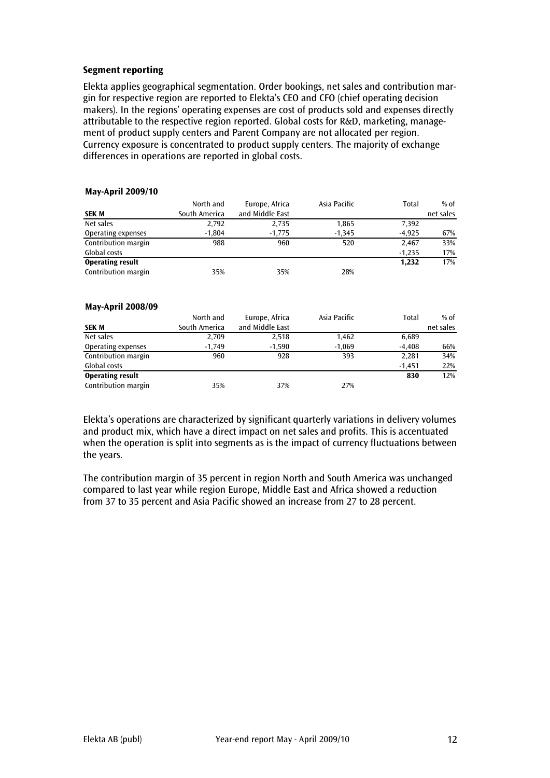## Segment reporting

Elekta applies geographical segmentation. Order bookings, net sales and contribution margin for respective region are reported to Elekta's CEO and CFO (chief operating decision makers). In the regions' operating expenses are cost of products sold and expenses directly attributable to the respective region reported. Global costs for R&D, marketing, management of product supply centers and Parent Company are not allocated per region. Currency exposure is concentrated to product supply centers. The majority of exchange differences in operations are reported in global costs.

### May-April 2009/10

|                         | North and     | Europe, Africa  | Asia Pacific | Total    | $%$ of    |
|-------------------------|---------------|-----------------|--------------|----------|-----------|
| <b>SEK M</b>            | South America | and Middle East |              |          | net sales |
| Net sales               | 2,792         | 2,735           | 1,865        | 7,392    |           |
| Operating expenses      | $-1.804$      | $-1,775$        | $-1.345$     | $-4.925$ | 67%       |
| Contribution margin     | 988           | 960             | 520          | 2,467    | 33%       |
| Global costs            |               |                 |              | $-1.235$ | 17%       |
| <b>Operating result</b> |               |                 |              | 1.232    | 17%       |
| Contribution margin     | 35%           | 35%             | 28%          |          |           |

#### May-April 2008/09

|                         | North and     | Europe, Africa  | Asia Pacific | Total    | $%$ of    |
|-------------------------|---------------|-----------------|--------------|----------|-----------|
| <b>SEK M</b>            | South America | and Middle East |              |          | net sales |
| Net sales               | 2,709         | 2.518           | 1.462        | 6,689    |           |
| Operating expenses      | $-1,749$      | $-1.590$        | $-1.069$     | $-4.408$ | 66%       |
| Contribution margin     | 960           | 928             | 393          | 2.281    | 34%       |
| Global costs            |               |                 |              | $-1.451$ | 22%       |
| <b>Operating result</b> |               |                 |              | 830      | 12%       |
| Contribution margin     | 35%           | 37%             | 27%          |          |           |

Elekta's operations are characterized by significant quarterly variations in delivery volumes and product mix, which have a direct impact on net sales and profits. This is accentuated when the operation is split into segments as is the impact of currency fluctuations between the years.

The contribution margin of 35 percent in region North and South America was unchanged compared to last year while region Europe, Middle East and Africa showed a reduction from 37 to 35 percent and Asia Pacific showed an increase from 27 to 28 percent.